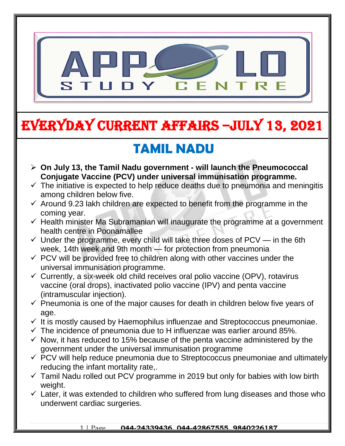

# EVERYDAY CURRENT AFFAIRS –jULY 13, 2021

## **TAMIL NADU**

-

- **On July 13, the Tamil Nadu government - will launch the Pneumococcal Conjugate Vaccine (PCV) under universal immunisation programme.**
- $\checkmark$  The initiative is expected to help reduce deaths due to pneumonia and meningitis among children below five.
- $\checkmark$  Around 9.23 lakh children are expected to benefit from the programme in the coming year.
- $\checkmark$  Health minister Ma Subramanian will inaugurate the programme at a government health centre in Poonamallee
- $\checkmark$  Under the programme, every child will take three doses of PCV in the 6th week, 14th week and 9th month — for protection from pneumonia
- $\checkmark$  PCV will be provided free to children along with other vaccines under the universal immunisation programme.
- $\checkmark$  Currently, a six-week old child receives oral polio vaccine (OPV), rotavirus vaccine (oral drops), inactivated polio vaccine (IPV) and penta vaccine (intramuscular injection).
- $\checkmark$  Pneumonia is one of the major causes for death in children below five years of age.
- $\checkmark$  It is mostly caused by Haemophilus influenzae and Streptococcus pneumoniae.
- $\checkmark$  The incidence of pneumonia due to H influenzae was earlier around 85%.
- $\checkmark$  Now, it has reduced to 15% because of the penta vaccine administered by the government under the universal immunisation programme
- $\checkmark$  PCV will help reduce pneumonia due to Streptococcus pneumoniae and ultimately reducing the infant mortality rate,.
- $\checkmark$  Tamil Nadu rolled out PCV programme in 2019 but only for babies with low birth weight.
- $\checkmark$  Later, it was extended to children who suffered from lung diseases and those who underwent cardiac surgeries.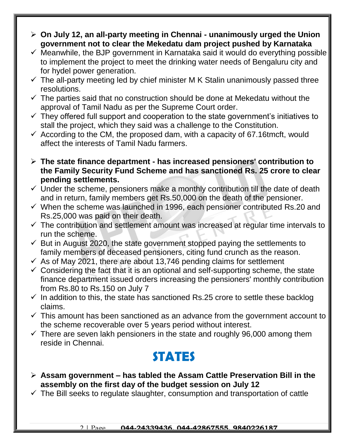- **On July 12, an all-party meeting in Chennai - unanimously urged the Union government not to clear the Mekedatu dam project pushed by Karnataka**
- $\checkmark$  Meanwhile, the BJP government in Karnataka said it would do everything possible to implement the project to meet the drinking water needs of Bengaluru city and for hydel power generation.
- $\checkmark$  The all-party meeting led by chief minister M K Stalin unanimously passed three resolutions.
- $\checkmark$  The parties said that no construction should be done at Mekedatu without the approval of Tamil Nadu as per the Supreme Court order.
- $\checkmark$  They offered full support and cooperation to the state government's initiatives to stall the project, which they said was a challenge to the Constitution.
- $\checkmark$  According to the CM, the proposed dam, with a capacity of 67.16tmcft, would affect the interests of Tamil Nadu farmers.
- **The state finance department - has increased pensioners' contribution to the Family Security Fund Scheme and has sanctioned Rs. 25 crore to clear pending settlements.**
- $\checkmark$  Under the scheme, pensioners make a monthly contribution till the date of death and in return, family members get Rs.50,000 on the death of the pensioner.
- $\checkmark$  When the scheme was launched in 1996, each pensioner contributed Rs.20 and Rs.25,000 was paid on their death.
- $\checkmark$  The contribution and settlement amount was increased at regular time intervals to run the scheme.
- $\checkmark$  But in August 2020, the state government stopped paying the settlements to family members of deceased pensioners, citing fund crunch as the reason.
- $\checkmark$  As of May 2021, there are about 13,746 pending claims for settlement
- $\checkmark$  Considering the fact that it is an optional and self-supporting scheme, the state finance department issued orders increasing the pensioners' monthly contribution from Rs.80 to Rs.150 on July 7
- $\checkmark$  In addition to this, the state has sanctioned Rs.25 crore to settle these backlog claims.
- $\checkmark$  This amount has been sanctioned as an advance from the government account to the scheme recoverable over 5 years period without interest.
- $\checkmark$  There are seven lakh pensioners in the state and roughly 96,000 among them reside in Chennai.

### **STATES**

- **Assam government – has tabled the Assam Cattle Preservation Bill in the assembly on the first day of the budget session on July 12**
- $\checkmark$  The Bill seeks to regulate slaughter, consumption and transportation of cattle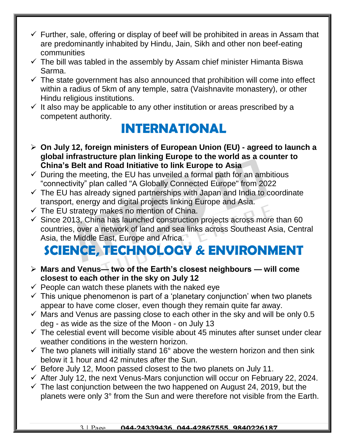- $\checkmark$  Further, sale, offering or display of beef will be prohibited in areas in Assam that are predominantly inhabited by Hindu, Jain, Sikh and other non beef-eating communities
- $\checkmark$  The bill was tabled in the assembly by Assam chief minister Himanta Biswa Sarma.
- $\checkmark$  The state government has also announced that prohibition will come into effect within a radius of 5km of any temple, satra (Vaishnavite monastery), or other Hindu religious institutions.
- $\checkmark$  It also may be applicable to any other institution or areas prescribed by a competent authority.

### **INTERNATIONAL**

- **On July 12, foreign ministers of European Union (EU) - agreed to launch a global infrastructure plan linking Europe to the world as a counter to China's Belt and Road Initiative to link Europe to Asia**
- $\checkmark$  During the meeting, the EU has unveiled a formal path for an ambitious "connectivity" plan called "A Globally Connected Europe" from 2022
- $\checkmark$  The EU has already signed partnerships with Japan and India to coordinate transport, energy and digital projects linking Europe and Asia.
- $\checkmark$  The EU strategy makes no mention of China.
- $\checkmark$  Since 2013, China has launched construction projects across more than 60 countries, over a network of land and sea links across Southeast Asia, Central Asia, the Middle East, Europe and Africa.

## **SCIENCE, TECHNOLOGY & ENVIRONMENT**

- **Mars and Venus— two of the Earth's closest neighbours — will come closest to each other in the sky on July 12**
- $\checkmark$  People can watch these planets with the naked eye
- $\checkmark$  This unique phenomenon is part of a 'planetary conjunction' when two planets appear to have come closer, even though they remain quite far away.
- $\checkmark$  Mars and Venus are passing close to each other in the sky and will be only 0.5 deg - as wide as the size of the Moon - on July 13
- $\checkmark$  The celestial event will become visible about 45 minutes after sunset under clear weather conditions in the western horizon.
- $\checkmark$  The two planets will initially stand 16° above the western horizon and then sink below it 1 hour and 42 minutes after the Sun.
- $\checkmark$  Before July 12, Moon passed closest to the two planets on July 11.
- $\checkmark$  After July 12, the next Venus-Mars conjunction will occur on February 22, 2024.
- $\checkmark$  The last conjunction between the two happened on August 24, 2019, but the planets were only 3° from the Sun and were therefore not visible from the Earth.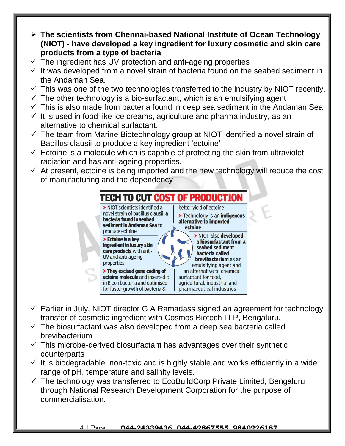- **The scientists from Chennai-based National Institute of Ocean Technology (NIOT) - have developed a key ingredient for luxury cosmetic and skin care products from a type of bacteria**
- $\checkmark$  The ingredient has UV protection and anti-ageing properties
- $\checkmark$  It was developed from a novel strain of bacteria found on the seabed sediment in the Andaman Sea.
- $\checkmark$  This was one of the two technologies transferred to the industry by NIOT recently.
- $\checkmark$  The other technology is a bio-surfactant, which is an emulsifying agent
- $\checkmark$  This is also made from bacteria found in deep sea sediment in the Andaman Sea
- $\checkmark$  It is used in food like ice creams, agriculture and pharma industry, as an alternative to chemical surfactant.
- $\checkmark$  The team from Marine Biotechnology group at NIOT identified a novel strain of Bacillus clausii to produce a key ingredient 'ectoine'
- $\checkmark$  Ectoine is a molecule which is capable of protecting the skin from ultraviolet radiation and has anti-ageing properties.
- $\checkmark$  At present, ectoine is being imported and the new technology will reduce the cost of manufacturing and the dependency



- $\checkmark$  Earlier in July, NIOT director G A Ramadass signed an agreement for technology transfer of cosmetic ingredient with Cosmos Biotech LLP, Bengaluru.
- $\checkmark$  The biosurfactant was also developed from a deep sea bacteria called brevibacterium
- $\checkmark$  This microbe-derived biosurfactant has advantages over their synthetic counterparts
- $\checkmark$  It is biodegradable, non-toxic and is highly stable and works efficiently in a wide range of pH, temperature and salinity levels.
- $\checkmark$  The technology was transferred to EcoBuildCorp Private Limited, Bengaluru through National Research Development Corporation for the purpose of commercialisation.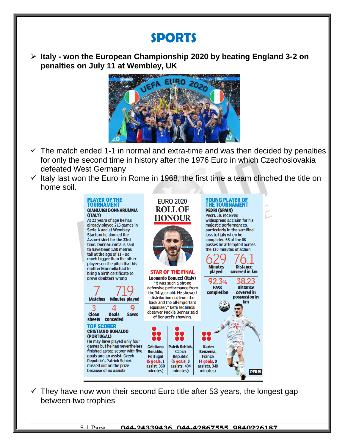#### **SPORTS**

 **Italy - won the European Championship 2020 by beating England 3-2 on penalties on July 11 at Wembley, UK**



- $\checkmark$  The match ended 1-1 in normal and extra-time and was then decided by penalties for only the second time in history after the 1976 Euro in which Czechoslovakia defeated West Germany
- $\checkmark$  Italy last won the Euro in Rome in 1968, the first time a team clinched the title on home soil.



 $\checkmark$  They have now won their second Euro title after 53 years, the longest gap between two trophies

5 | Page **044-24339436, 044-42867555, 9840226187**